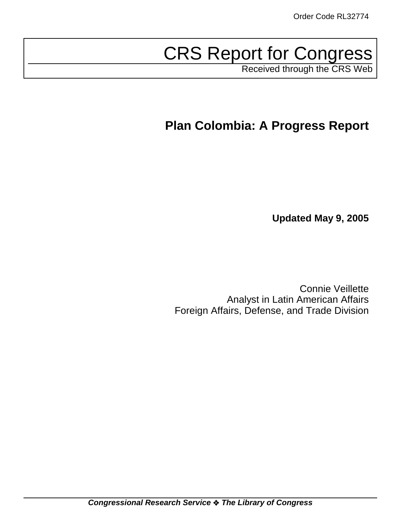# CRS Report for Congress

Received through the CRS Web

# **Plan Colombia: A Progress Report**

**Updated May 9, 2005**

Connie Veillette Analyst in Latin American Affairs Foreign Affairs, Defense, and Trade Division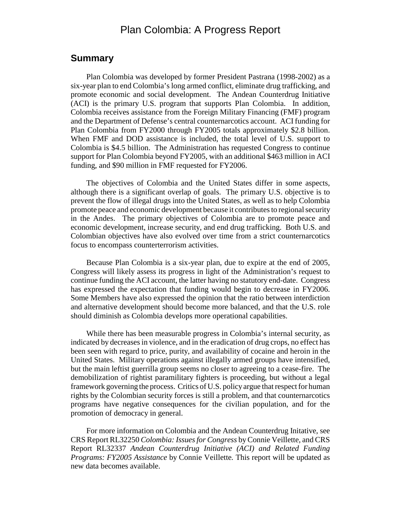### Plan Colombia: A Progress Report

#### **Summary**

Plan Colombia was developed by former President Pastrana (1998-2002) as a six-year plan to end Colombia's long armed conflict, eliminate drug trafficking, and promote economic and social development. The Andean Counterdrug Initiative (ACI) is the primary U.S. program that supports Plan Colombia. In addition, Colombia receives assistance from the Foreign Military Financing (FMF) program and the Department of Defense's central counternarcotics account. ACI funding for Plan Colombia from FY2000 through FY2005 totals approximately \$2.8 billion. When FMF and DOD assistance is included, the total level of U.S. support to Colombia is \$4.5 billion. The Administration has requested Congress to continue support for Plan Colombia beyond FY2005, with an additional \$463 million in ACI funding, and \$90 million in FMF requested for FY2006.

The objectives of Colombia and the United States differ in some aspects, although there is a significant overlap of goals. The primary U.S. objective is to prevent the flow of illegal drugs into the United States, as well as to help Colombia promote peace and economic development because it contributes to regional security in the Andes. The primary objectives of Colombia are to promote peace and economic development, increase security, and end drug trafficking. Both U.S. and Colombian objectives have also evolved over time from a strict counternarcotics focus to encompass counterterrorism activities.

Because Plan Colombia is a six-year plan, due to expire at the end of 2005, Congress will likely assess its progress in light of the Administration's request to continue funding the ACI account, the latter having no statutory end-date. Congress has expressed the expectation that funding would begin to decrease in FY2006. Some Members have also expressed the opinion that the ratio between interdiction and alternative development should become more balanced, and that the U.S. role should diminish as Colombia develops more operational capabilities.

While there has been measurable progress in Colombia's internal security, as indicated by decreases in violence, and in the eradication of drug crops, no effect has been seen with regard to price, purity, and availability of cocaine and heroin in the United States. Military operations against illegally armed groups have intensified, but the main leftist guerrilla group seems no closer to agreeing to a cease-fire. The demobilization of rightist paramilitary fighters is proceeding, but without a legal framework governing the process. Critics of U.S. policy argue that respect for human rights by the Colombian security forces is still a problem, and that counternarcotics programs have negative consequences for the civilian population, and for the promotion of democracy in general.

For more information on Colombia and the Andean Counterdrug Initative, see CRS Report RL32250 *Colombia: Issues for Congress* by Connie Veillette, and CRS Report RL32337 *Andean Counterdrug Initiative (ACI) and Related Funding Programs: FY2005 Assistance* by Connie Veillette*.* This report will be updated as new data becomes available.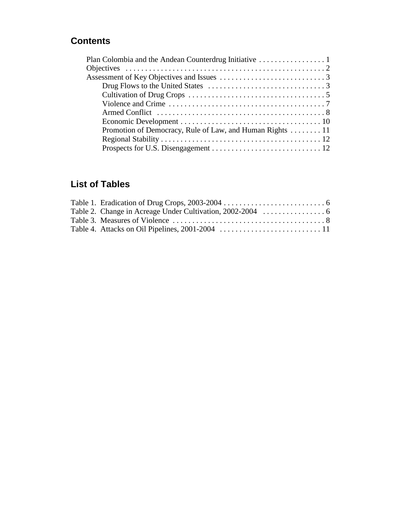### **Contents**

| Promotion of Democracy, Rule of Law, and Human Rights  11 |
|-----------------------------------------------------------|
|                                                           |
|                                                           |

## **List of Tables**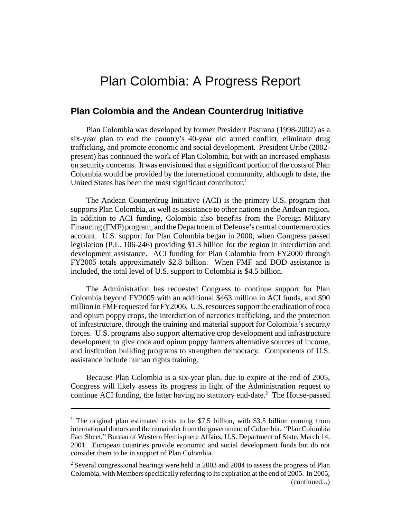# Plan Colombia: A Progress Report

#### **Plan Colombia and the Andean Counterdrug Initiative**

Plan Colombia was developed by former President Pastrana (1998-2002) as a six-year plan to end the country's 40-year old armed conflict, eliminate drug trafficking, and promote economic and social development. President Uribe (2002 present) has continued the work of Plan Colombia, but with an increased emphasis on security concerns. It was envisioned that a significant portion of the costs of Plan Colombia would be provided by the international community, although to date, the United States has been the most significant contributor.<sup>1</sup>

The Andean Counterdrug Initiative (ACI) is the primary U.S. program that supports Plan Colombia, as well as assistance to other nations in the Andean region. In addition to ACI funding, Colombia also benefits from the Foreign Military Financing (FMF) program, and the Department of Defense's central counternarcotics account. U.S. support for Plan Colombia began in 2000, when Congress passed legislation (P.L. 106-246) providing \$1.3 billion for the region in interdiction and development assistance. ACI funding for Plan Colombia from FY2000 through FY2005 totals approximately \$2.8 billion. When FMF and DOD assistance is included, the total level of U.S. support to Colombia is \$4.5 billion.

The Administration has requested Congress to continue support for Plan Colombia beyond FY2005 with an additional \$463 million in ACI funds, and \$90 million in FMF requested for FY2006. U.S. resources support the eradication of coca and opium poppy crops, the interdiction of narcotics trafficking, and the protection of infrastructure, through the training and material support for Colombia's security forces. U.S. programs also support alternative crop development and infrastructure development to give coca and opium poppy farmers alternative sources of income, and institution building programs to strengthen democracy. Components of U.S. assistance include human rights training.

Because Plan Colombia is a six-year plan, due to expire at the end of 2005, Congress will likely assess its progress in light of the Administration request to continue ACI funding, the latter having no statutory end-date.<sup>2</sup> The House-passed

<sup>&</sup>lt;sup>1</sup> The original plan estimated costs to be \$7.5 billion, with \$3.5 billion coming from international donors and the remainder from the government of Colombia. "Plan Colombia Fact Sheet," Bureau of Western Hemisphere Affairs, U.S. Department of State, March 14, 2001. European countries provide economic and social development funds but do not consider them to be in support of Plan Colombia.

<sup>&</sup>lt;sup>2</sup> Several congressional hearings were held in 2003 and 2004 to assess the progress of Plan Colombia, with Members specifically referring to its expiration at the end of 2005. In 2005, (continued...)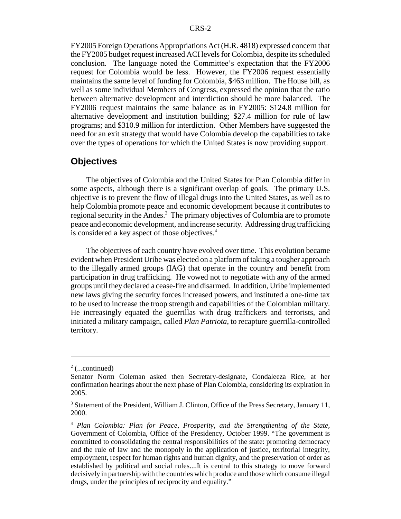FY2005 Foreign Operations Appropriations Act (H.R. 4818) expressed concern that the FY2005 budget request increased ACI levels for Colombia, despite its scheduled conclusion. The language noted the Committee's expectation that the FY2006 request for Colombia would be less. However, the FY2006 request essentially maintains the same level of funding for Colombia, \$463 million. The House bill, as well as some individual Members of Congress, expressed the opinion that the ratio between alternative development and interdiction should be more balanced. The FY2006 request maintains the same balance as in FY2005: \$124.8 million for alternative development and institution building; \$27.4 million for rule of law programs; and \$310.9 million for interdiction. Other Members have suggested the need for an exit strategy that would have Colombia develop the capabilities to take over the types of operations for which the United States is now providing support.

#### **Objectives**

The objectives of Colombia and the United States for Plan Colombia differ in some aspects, although there is a significant overlap of goals. The primary U.S. objective is to prevent the flow of illegal drugs into the United States, as well as to help Colombia promote peace and economic development because it contributes to regional security in the Andes.<sup>3</sup> The primary objectives of Colombia are to promote peace and economic development, and increase security. Addressing drug trafficking is considered a key aspect of those objectives.<sup>4</sup>

The objectives of each country have evolved over time. This evolution became evident when President Uribe was elected on a platform of taking a tougher approach to the illegally armed groups (IAG) that operate in the country and benefit from participation in drug trafficking. He vowed not to negotiate with any of the armed groups until they declared a cease-fire and disarmed. In addition, Uribe implemented new laws giving the security forces increased powers, and instituted a one-time tax to be used to increase the troop strength and capabilities of the Colombian military. He increasingly equated the guerrillas with drug traffickers and terrorists, and initiated a military campaign, called *Plan Patriota*, to recapture guerrilla-controlled territory.

 $2$  (...continued)

Senator Norm Coleman asked then Secretary-designate, Condaleeza Rice, at her confirmation hearings about the next phase of Plan Colombia, considering its expiration in 2005.

<sup>&</sup>lt;sup>3</sup> Statement of the President, William J. Clinton, Office of the Press Secretary, January 11, 2000.

<sup>4</sup> *Plan Colombia: Plan for Peace, Prosperity, and the Strengthening of the State*, Government of Colombia, Office of the Presidency, October 1999. "The government is committed to consolidating the central responsibilities of the state: promoting democracy and the rule of law and the monopoly in the application of justice, territorial integrity, employment, respect for human rights and human dignity, and the preservation of order as established by political and social rules....It is central to this strategy to move forward decisively in partnership with the countries which produce and those which consume illegal drugs, under the principles of reciprocity and equality."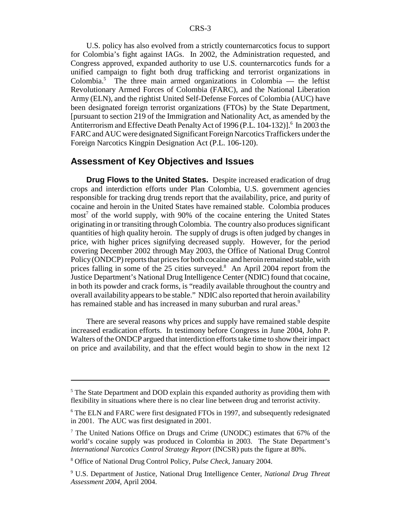U.S. policy has also evolved from a strictly counternarcotics focus to support for Colombia's fight against IAGs. In 2002, the Administration requested, and Congress approved, expanded authority to use U.S. counternarcotics funds for a unified campaign to fight both drug trafficking and terrorist organizations in Colombia.<sup>5</sup> The three main armed organizations in Colombia — the leftist Revolutionary Armed Forces of Colombia (FARC), and the National Liberation Army (ELN), and the rightist United Self-Defense Forces of Colombia (AUC) have been designated foreign terrorist organizations (FTOs) by the State Department, [pursuant to section 219 of the Immigration and Nationality Act, as amended by the Antiterrorism and Effective Death Penalty Act of 1996 (P.L. 104-132)].<sup>6</sup> In 2003 the FARC and AUC were designated Significant Foreign Narcotics Traffickers under the Foreign Narcotics Kingpin Designation Act (P.L. 106-120).

#### **Assessment of Key Objectives and Issues**

**Drug Flows to the United States.** Despite increased eradication of drug crops and interdiction efforts under Plan Colombia, U.S. government agencies responsible for tracking drug trends report that the availability, price, and purity of cocaine and heroin in the United States have remained stable. Colombia produces most<sup>7</sup> of the world supply, with 90% of the cocaine entering the United States originating in or transiting through Colombia. The country also produces significant quantities of high quality heroin. The supply of drugs is often judged by changes in price, with higher prices signifying decreased supply. However, for the period covering December 2002 through May 2003, the Office of National Drug Control Policy (ONDCP) reports that prices for both cocaine and heroin remained stable, with prices falling in some of the 25 cities surveyed.<sup>8</sup> An April 2004 report from the Justice Department's National Drug Intelligence Center (NDIC) found that cocaine, in both its powder and crack forms, is "readily available throughout the country and overall availability appears to be stable." NDIC also reported that heroin availability has remained stable and has increased in many suburban and rural areas.<sup>9</sup>

There are several reasons why prices and supply have remained stable despite increased eradication efforts. In testimony before Congress in June 2004, John P. Walters of the ONDCP argued that interdiction efforts take time to show their impact on price and availability, and that the effect would begin to show in the next 12

<sup>&</sup>lt;sup>5</sup> The State Department and DOD explain this expanded authority as providing them with flexibility in situations where there is no clear line between drug and terrorist activity.

<sup>&</sup>lt;sup>6</sup> The ELN and FARC were first designated FTOs in 1997, and subsequently redesignated in 2001. The AUC was first designated in 2001.

<sup>&</sup>lt;sup>7</sup> The United Nations Office on Drugs and Crime (UNODC) estimates that 67% of the world's cocaine supply was produced in Colombia in 2003. The State Department's *International Narcotics Control Strategy Report* (INCSR) puts the figure at 80%.

<sup>8</sup> Office of National Drug Control Policy, *Pulse Check*, January 2004.

<sup>9</sup> U.S. Department of Justice, National Drug Intelligence Center, *National Drug Threat Assessment 2004*, April 2004.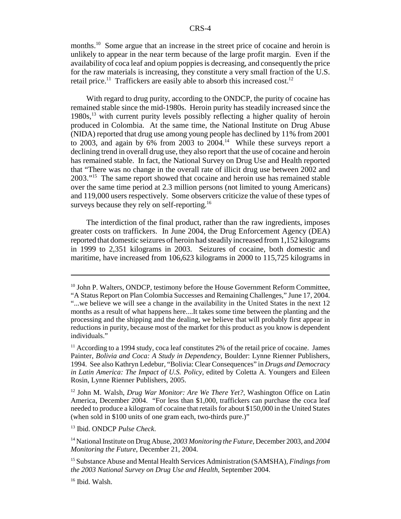months.<sup>10</sup> Some argue that an increase in the street price of cocaine and heroin is unlikely to appear in the near term because of the large profit margin. Even if the availability of coca leaf and opium poppies is decreasing, and consequently the price for the raw materials is increasing, they constitute a very small fraction of the U.S. retail price.<sup>11</sup> Traffickers are easily able to absorb this increased cost.<sup>12</sup>

With regard to drug purity, according to the ONDCP, the purity of cocaine has remained stable since the mid-1980s. Heroin purity has steadily increased since the  $1980s$ ,<sup>13</sup> with current purity levels possibly reflecting a higher quality of heroin produced in Colombia. At the same time, the National Institute on Drug Abuse (NIDA) reported that drug use among young people has declined by 11% from 2001 to 2003, and again by  $6\%$  from 2003 to 2004.<sup>14</sup> While these surveys report a declining trend in overall drug use, they also report that the use of cocaine and heroin has remained stable. In fact, the National Survey on Drug Use and Health reported that "There was no change in the overall rate of illicit drug use between 2002 and 2003."15 The same report showed that cocaine and heroin use has remained stable over the same time period at 2.3 million persons (not limited to young Americans) and 119,000 users respectively. Some observers criticize the value of these types of surveys because they rely on self-reporting.<sup>16</sup>

The interdiction of the final product, rather than the raw ingredients, imposes greater costs on traffickers. In June 2004, the Drug Enforcement Agency (DEA) reported that domestic seizures of heroin had steadily increased from 1,152 kilograms in 1999 to 2,351 kilograms in 2003. Seizures of cocaine, both domestic and maritime, have increased from 106,623 kilograms in 2000 to 115,725 kilograms in

13 Ibid. ONDCP *Pulse Check*.

 $10$  John P. Walters, ONDCP, testimony before the House Government Reform Committee, "A Status Report on Plan Colombia Successes and Remaining Challenges," June 17, 2004. "...we believe we will see a change in the availability in the United States in the next 12 months as a result of what happens here....It takes some time between the planting and the processing and the shipping and the dealing, we believe that will probably first appear in reductions in purity, because most of the market for this product as you know is dependent individuals."

<sup>&</sup>lt;sup>11</sup> According to a 1994 study, coca leaf constitutes 2% of the retail price of cocaine. James Painter, *Bolivia and Coca: A Study in Dependency*, Boulder: Lynne Rienner Publishers, 1994. See also Kathryn Ledebur, "Bolivia: Clear Consequences" in *Drugs and Democracy in Latin America: The Impact of U.S. Policy*, edited by Coletta A. Youngers and Eileen Rosin, Lynne Rienner Publishers, 2005.

<sup>12</sup> John M. Walsh, *Drug War Monitor: Are We There Yet?*, Washington Office on Latin America, December 2004. "For less than \$1,000, traffickers can purchase the coca leaf needed to produce a kilogram of cocaine that retails for about \$150,000 in the United States (when sold in \$100 units of one gram each, two-thirds pure.)"

<sup>14</sup> National Institute on Drug Abuse, *2003 Monitoring the Future,* December 2003, and *2004 Monitoring the Future*, December 21, 2004.

<sup>15</sup> Substance Abuse and Mental Health Services Administration (SAMSHA), *Findings from the 2003 National Survey on Drug Use and Health*, September 2004.

<sup>&</sup>lt;sup>16</sup> Ibid. Walsh.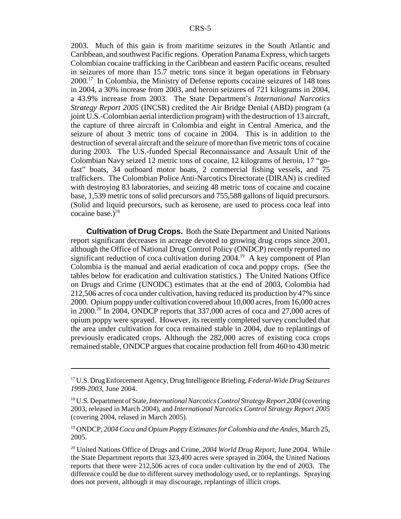2003. Much of this gain is from maritime seizures in the South Atlantic and Caribbean, and southwest Pacific regions. Operation Panama Express, which targets Colombian cocaine trafficking in the Caribbean and eastern Pacific oceans, resulted in seizures of more than 15.7 metric tons since it began operations in February 2000.17 In Colombia, the Ministry of Defense reports cocaine seizures of 148 tons in 2004, a 30% increase from 2003, and heroin seizures of 721 kilograms in 2004, a 43.9% increase from 2003. The State Department's *International Narcotics Strategy Report 2005* (INCSR) credited the Air Bridge Denial (ABD) program (a joint U.S.-Colombian aerial interdiction program) with the destruction of 13 aircraft, the capture of three aircraft in Colombia and eight in Central America, and the seizure of about 3 metric tons of cocaine in 2004. This is in addition to the destruction of several aircraft and the seizure of more than five metric tons of cocaine during 2003. The U.S.-funded Special Reconnaissance and Assault Unit of the Colombian Navy seized 12 metric tons of cocaine, 12 kilograms of heroin, 17 "gofast" boats, 34 outboard motor boats, 2 commercial fishing vessels, and 75 traffickers. The Colombian Police Anti-Narcotics Directorate (DIRAN) is credited with destroying 83 laboratories, and seizing 48 metric tons of cocaine and cocaine base, 1,539 metric tons of solid precursors and 755,588 gallons of liquid precursors. (Solid and liquid precursors, such as kerosene, are used to process coca leaf into cocaine base.) $18$ 

**Cultivation of Drug Crops.** Both the State Department and United Nations report significant decreases in acreage devoted to growing drug crops since 2001, although the Office of National Drug Control Policy (ONDCP) recently reported no significant reduction of coca cultivation during  $2004<sup>19</sup>$ . A key component of Plan Colombia is the manual and aerial eradication of coca and poppy crops. (See the tables below for eradication and cultivation statistics.) The United Nations Office on Drugs and Crime (UNODC) estimates that at the end of 2003, Colombia had 212,506 acres of coca under cultivation, having reduced its production by 47% since 2000. Opium poppy under cultivation covered about 10,000 acres, from 16,000 acres in 2000.<sup>20</sup> In 2004, ONDCP reports that  $337,000$  acres of coca and  $27,000$  acres of opium poppy were sprayed. However, its recently completed survey concluded that the area under cultivation for coca remained stable in 2004, due to replantings of previously eradicated crops. Although the 282,000 acres of existing coca crops remained stable, ONDCP argues that cocaine production fell from 460 to 430 metric

<sup>17</sup> U.S. Drug Enforcement Agency, Drug Intelligence Briefing, *Federal-Wide Drug Seizures 1999-2003*, June 2004.

<sup>18</sup> U.S. Department of State, *International Narcotics Control Strategy Report 2004* (covering 2003, released in March 2004), and *International Narcotics Control Strategy Report 2005* (covering 2004, relased in March 2005).

<sup>19</sup> ONDCP, *2004 Coca and Opium Poppy Estimates for Colombia and the Andes*, March 25, 2005.

<sup>20</sup> United Nations Office of Drugs and Crime, *2004 World Drug Report*, June 2004. While the State Department reports that 323,400 acres were sprayed in 2004, the United Nations reports that there were 212,506 acres of coca under cultivation by the end of 2003. The difference could be due to different survey methodology used, or to replantings. Spraying does not prevent, although it may discourage, replantings of illicit crops.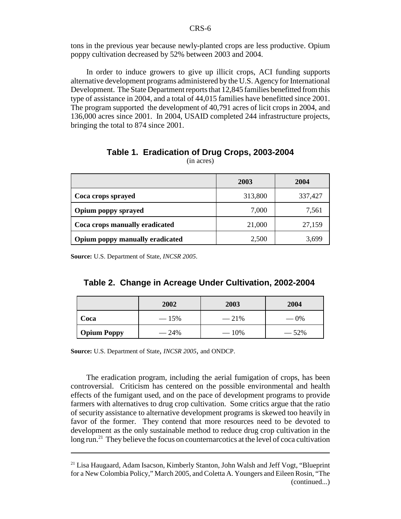tons in the previous year because newly-planted crops are less productive. Opium poppy cultivation decreased by 52% between 2003 and 2004.

In order to induce growers to give up illicit crops, ACI funding supports alternative development programs administered by the U.S. Agency for International Development. The State Department reports that 12,845 families benefitted from this type of assistance in 2004, and a total of 44,015 families have benefitted since 2001. The program supported the development of 40,791 acres of licit crops in 2004, and 136,000 acres since 2001. In 2004, USAID completed 244 infrastructure projects, bringing the total to 874 since 2001.

|                                 | 2003    | 2004    |
|---------------------------------|---------|---------|
| Coca crops sprayed              | 313,800 | 337,427 |
| Opium poppy sprayed             | 7,000   | 7,561   |
| Coca crops manually eradicated  | 21,000  | 27,159  |
| Opium poppy manually eradicated | 2,500   | 3.69    |

| Table 1. Eradication of Drug Crops, 2003-2004 |  |
|-----------------------------------------------|--|
| (in acres)                                    |  |

**Source:** U.S. Department of State, *INCSR 2005*.

|  |  | Table 2. Change in Acreage Under Cultivation, 2002-2004 |  |  |
|--|--|---------------------------------------------------------|--|--|
|--|--|---------------------------------------------------------|--|--|

|                    | 2002   | 2003   | 2004   |
|--------------------|--------|--------|--------|
| Coca               | $-15%$ | $-21%$ | $-0\%$ |
| <b>Opium Poppy</b> | $-24%$ | $-10%$ | $-52%$ |

**Source:** U.S. Department of State, *INCSR 2005*, and ONDCP.

The eradication program, including the aerial fumigation of crops, has been controversial. Criticism has centered on the possible environmental and health effects of the fumigant used, and on the pace of development programs to provide farmers with alternatives to drug crop cultivation. Some critics argue that the ratio of security assistance to alternative development programs is skewed too heavily in favor of the former. They contend that more resources need to be devoted to development as the only sustainable method to reduce drug crop cultivation in the long run.<sup>21</sup> They believe the focus on counternarcotics at the level of coca cultivation

<sup>&</sup>lt;sup>21</sup> Lisa Haugaard, Adam Isacson, Kimberly Stanton, John Walsh and Jeff Vogt, "Blueprint for a New Colombia Policy," March 2005, and Coletta A. Youngers and Eileen Rosin, "The (continued...)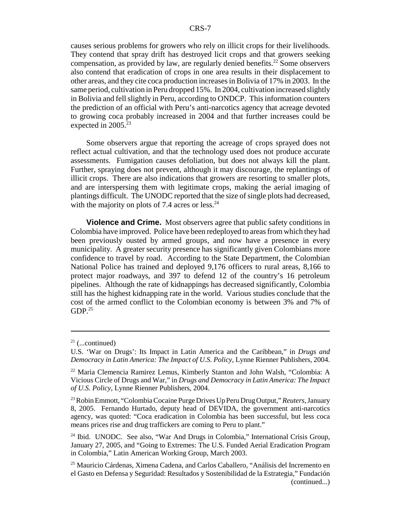causes serious problems for growers who rely on illicit crops for their livelihoods. They contend that spray drift has destroyed licit crops and that growers seeking compensation, as provided by law, are regularly denied benefits.<sup>22</sup> Some observers also contend that eradication of crops in one area results in their displacement to other areas, and they cite coca production increases in Bolivia of 17% in 2003. In the same period, cultivation in Peru dropped 15%. In 2004, cultivation increased slightly in Bolivia and fell slightly in Peru, according to ONDCP. This information counters the prediction of an official with Peru's anti-narcotics agency that acreage devoted to growing coca probably increased in 2004 and that further increases could be expected in  $2005.<sup>23</sup>$ 

Some observers argue that reporting the acreage of crops sprayed does not reflect actual cultivation, and that the technology used does not produce accurate assessments. Fumigation causes defoliation, but does not always kill the plant. Further, spraying does not prevent, although it may discourage, the replantings of illicit crops. There are also indications that growers are resorting to smaller plots, and are interspersing them with legitimate crops, making the aerial imaging of plantings difficult. The UNODC reported that the size of single plots had decreased, with the majority on plots of 7.4 acres or less. $24$ 

**Violence and Crime.** Most observers agree that public safety conditions in Colombia have improved. Police have been redeployed to areas from which they had been previously ousted by armed groups, and now have a presence in every municipality. A greater security presence has significantly given Colombians more confidence to travel by road. According to the State Department, the Colombian National Police has trained and deployed 9,176 officers to rural areas, 8,166 to protect major roadways, and 397 to defend 12 of the country's 16 petroleum pipelines. Although the rate of kidnappings has decreased significantly, Colombia still has the highest kidnapping rate in the world. Various studies conclude that the cost of the armed conflict to the Colombian economy is between 3% and 7% of  $GDP<sup>25</sup>$ 

 $21$  (...continued)

U.S. 'War on Drugs': Its Impact in Latin America and the Caribbean," in *Drugs and Democracy in Latin America: The Impact of U.S. Policy*, Lynne Rienner Publishers, 2004.

<sup>22</sup> Maria Clemencia Ramirez Lemus, Kimberly Stanton and John Walsh, "Colombia: A Vicious Circle of Drugs and War," in *Drugs and Democracy in Latin America: The Impact of U.S. Policy*, Lynne Rienner Publishers, 2004.

<sup>23</sup> Robin Emmott, "Colombia Cocaine Purge Drives Up Peru Drug Output," *Reuters*, January 8, 2005. Fernando Hurtado, deputy head of DEVIDA, the government anti-narcotics agency, was quoted: "Coca eradication in Colombia has been successful, but less coca means prices rise and drug traffickers are coming to Peru to plant."

 $24$  Ibid. UNODC. See also, "War And Drugs in Colombia," International Crisis Group, January 27, 2005, and "Going to Extremes: The U.S. Funded Aerial Eradication Program in Colombia," Latin American Working Group, March 2003.

<sup>25</sup> Mauricio Cárdenas, Ximena Cadena, and Carlos Caballero, "Análisis del Incremento en el Gasto en Defensa y Seguridad: Resultados y Sostenibilidad de la Estrategia," Fundación (continued...)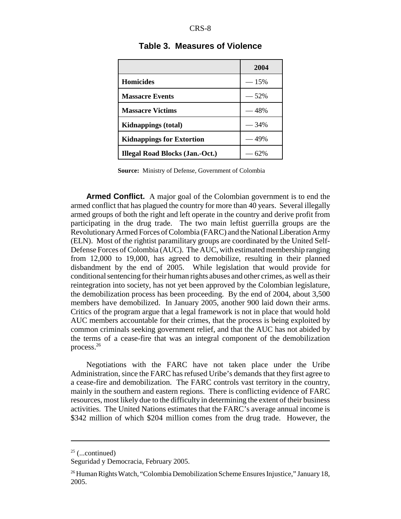|                                        | 2004   |
|----------------------------------------|--------|
| <b>Homicides</b>                       | $-15%$ |
| <b>Massacre Events</b>                 | $-52%$ |
| <b>Massacre Victims</b>                | — 48%  |
| <b>Kidnappings</b> (total)             | $-34%$ |
| <b>Kidnappings for Extortion</b>       | 49%    |
| <b>Illegal Road Blocks (Jan.-Oct.)</b> | 62%    |

#### **Table 3. Measures of Violence**

**Source:** Ministry of Defense, Government of Colombia

**Armed Conflict.** A major goal of the Colombian government is to end the armed conflict that has plagued the country for more than 40 years. Several illegally armed groups of both the right and left operate in the country and derive profit from participating in the drug trade. The two main leftist guerrilla groups are the Revolutionary Armed Forces of Colombia (FARC) and the National Liberation Army (ELN). Most of the rightist paramilitary groups are coordinated by the United Self-Defense Forces of Colombia (AUC). The AUC, with estimated membership ranging from 12,000 to 19,000, has agreed to demobilize, resulting in their planned disbandment by the end of 2005. While legislation that would provide for conditional sentencing for their human rights abuses and other crimes, as well as their reintegration into society, has not yet been approved by the Colombian legislature, the demobilization process has been proceeding. By the end of 2004, about 3,500 members have demobilized. In January 2005, another 900 laid down their arms. Critics of the program argue that a legal framework is not in place that would hold AUC members accountable for their crimes, that the process is being exploited by common criminals seeking government relief, and that the AUC has not abided by the terms of a cease-fire that was an integral component of the demobilization process.26

Negotiations with the FARC have not taken place under the Uribe Administration, since the FARC has refused Uribe's demands that they first agree to a cease-fire and demobilization. The FARC controls vast territory in the country, mainly in the southern and eastern regions. There is conflicting evidence of FARC resources, most likely due to the difficulty in determining the extent of their business activities. The United Nations estimates that the FARC's average annual income is \$342 million of which \$204 million comes from the drug trade. However, the

 $25$  (...continued)

Seguridad y Democracia, February 2005.

<sup>&</sup>lt;sup>26</sup> Human Rights Watch, "Colombia Demobilization Scheme Ensures Injustice," January 18, 2005.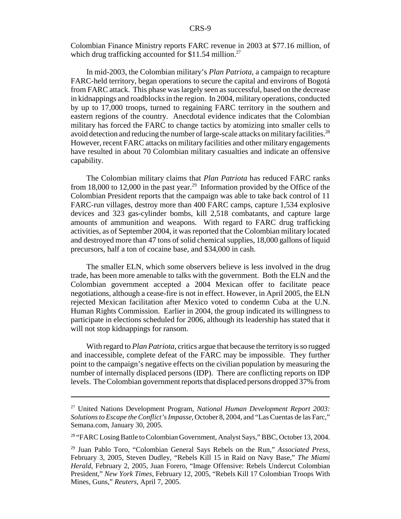Colombian Finance Ministry reports FARC revenue in 2003 at \$77.16 million, of which drug trafficking accounted for  $$11.54$  million.<sup>27</sup>

In mid-2003, the Colombian military's *Plan Patriota*, a campaign to recapture FARC-held territory, began operations to secure the capital and environs of Bogotá from FARC attack. This phase was largely seen as successful, based on the decrease in kidnappings and roadblocks in the region. In 2004, military operations, conducted by up to 17,000 troops, turned to regaining FARC territory in the southern and eastern regions of the country. Anecdotal evidence indicates that the Colombian military has forced the FARC to change tactics by atomizing into smaller cells to avoid detection and reducing the number of large-scale attacks on military facilities.<sup>28</sup> However, recent FARC attacks on military facilities and other military engagements have resulted in about 70 Colombian military casualties and indicate an offensive capability.

The Colombian military claims that *Plan Patriota* has reduced FARC ranks from 18,000 to 12,000 in the past year.<sup>29</sup> Information provided by the Office of the Colombian President reports that the campaign was able to take back control of 11 FARC-run villages, destroy more than 400 FARC camps, capture 1,534 explosive devices and 323 gas-cylinder bombs, kill 2,518 combatants, and capture large amounts of ammunition and weapons. With regard to FARC drug trafficking activities, as of September 2004, it was reported that the Colombian military located and destroyed more than 47 tons of solid chemical supplies, 18,000 gallons of liquid precursors, half a ton of cocaine base, and \$34,000 in cash.

The smaller ELN, which some observers believe is less involved in the drug trade, has been more amenable to talks with the government. Both the ELN and the Colombian government accepted a 2004 Mexican offer to facilitate peace negotiations, although a cease-fire is not in effect. However, in April 2005, the ELN rejected Mexican facilitation after Mexico voted to condemn Cuba at the U.N. Human Rights Commission. Earlier in 2004, the group indicated its willingness to participate in elections scheduled for 2006, although its leadership has stated that it will not stop kidnappings for ransom.

With regard to *Plan Patriota*, critics argue that because the territory is so rugged and inaccessible, complete defeat of the FARC may be impossible. They further point to the campaign's negative effects on the civilian population by measuring the number of internally displaced persons (IDP). There are conflicting reports on IDP levels. The Colombian government reports that displaced persons dropped 37% from

<sup>27</sup> United Nations Development Program, *National Human Development Report 2003: Solutions to Escape the Conflict's Impasse*, October 8, 2004, and "Las Cuentas de las Farc," Semana.com, January 30, 2005.

<sup>&</sup>lt;sup>28</sup> "FARC Losing Battle to Colombian Government, Analyst Says," BBC, October 13, 2004.

<sup>29</sup> Juan Pablo Toro, "Colombian General Says Rebels on the Run," *Associated Press*, February 3, 2005, Steven Dudley, "Rebels Kill 15 in Raid on Navy Base," *The Miami Herald*, February 2, 2005, Juan Forero, "Image Offensive: Rebels Undercut Colombian President," *New York Times*, February 12, 2005, "Rebels Kill 17 Colombian Troops With Mines, Guns," *Reuters*, April 7, 2005.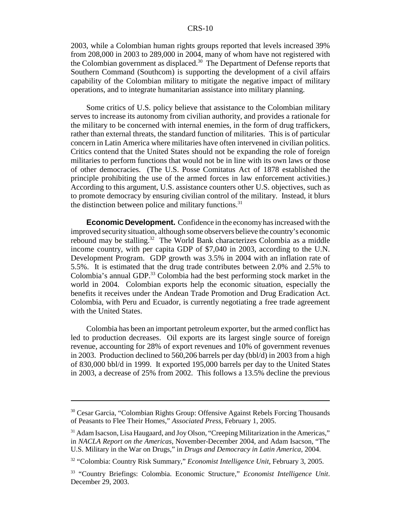2003, while a Colombian human rights groups reported that levels increased 39% from 208,000 in 2003 to 289,000 in 2004, many of whom have not registered with the Colombian government as displaced.<sup>30</sup> The Department of Defense reports that Southern Command (Southcom) is supporting the development of a civil affairs capability of the Colombian military to mitigate the negative impact of military operations, and to integrate humanitarian assistance into military planning.

Some critics of U.S. policy believe that assistance to the Colombian military serves to increase its autonomy from civilian authority, and provides a rationale for the military to be concerned with internal enemies, in the form of drug traffickers, rather than external threats, the standard function of militaries. This is of particular concern in Latin America where militaries have often intervened in civilian politics. Critics contend that the United States should not be expanding the role of foreign militaries to perform functions that would not be in line with its own laws or those of other democracies. (The U.S. Posse Comitatus Act of 1878 established the principle prohibiting the use of the armed forces in law enforcement activities.) According to this argument, U.S. assistance counters other U.S. objectives, such as to promote democracy by ensuring civilian control of the military. Instead, it blurs the distinction between police and military functions. $31$ 

**Economic Development.** Confidence in the economy has increased with the improved security situation, although some observers believe the country's economic rebound may be stalling.<sup>32</sup> The World Bank characterizes Colombia as a middle income country, with per capita GDP of \$7,040 in 2003, according to the U.N. Development Program. GDP growth was 3.5% in 2004 with an inflation rate of 5.5%. It is estimated that the drug trade contributes between 2.0% and 2.5% to Colombia's annual GDP. $^{33}$  Colombia had the best performing stock market in the world in 2004. Colombian exports help the economic situation, especially the benefits it receives under the Andean Trade Promotion and Drug Eradication Act. Colombia, with Peru and Ecuador, is currently negotiating a free trade agreement with the United States.

Colombia has been an important petroleum exporter, but the armed conflict has led to production decreases. Oil exports are its largest single source of foreign revenue, accounting for 28% of export revenues and 10% of government revenues in 2003. Production declined to 560,206 barrels per day (bbl/d) in 2003 from a high of 830,000 bbl/d in 1999. It exported 195,000 barrels per day to the United States in 2003, a decrease of 25% from 2002. This follows a 13.5% decline the previous

<sup>30</sup> Cesar Garcia, "Colombian Rights Group: Offensive Against Rebels Forcing Thousands of Peasants to Flee Their Homes," *Associated Press*, February 1, 2005.

<sup>&</sup>lt;sup>31</sup> Adam Isacson, Lisa Haugaard, and Joy Olson, "Creeping Militarization in the Americas," in *NACLA Report on the Americas*, November-December 2004, and Adam Isacson, "The U.S. Military in the War on Drugs," in *Drugs and Democracy in Latin America*, 2004.

<sup>32 &</sup>quot;Colombia: Country Risk Summary," *Economist Intelligence Unit*, February 3, 2005.

<sup>33 &</sup>quot;Country Briefings: Colombia. Economic Structure," *Economist Intelligence Unit*. December 29, 2003.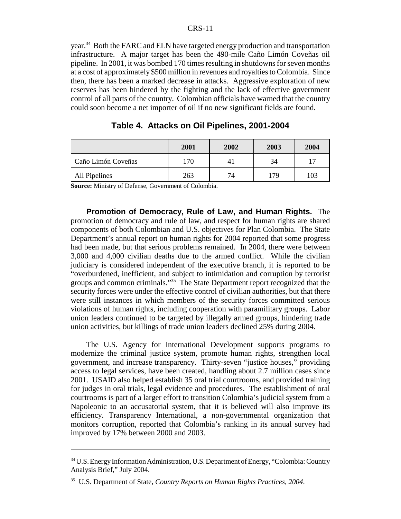year.<sup>34</sup> Both the FARC and ELN have targeted energy production and transportation infrastructure. A major target has been the 490-mile Caño Limón Coveñas oil pipeline. In 2001, it was bombed 170 times resulting in shutdowns for seven months at a cost of approximately \$500 million in revenues and royalties to Colombia. Since then, there has been a marked decrease in attacks. Aggressive exploration of new reserves has been hindered by the fighting and the lack of effective government control of all parts of the country. Colombian officials have warned that the country could soon become a net importer of oil if no new significant fields are found.

|                    | 2001 | 2002           | 2003 | 2004       |
|--------------------|------|----------------|------|------------|
| Caño Limón Coveñas | 170  | 4 <sub>1</sub> | 34   | $\sqrt{7}$ |
| All Pipelines      | 263  | 74             | 179  | 103        |

**Table 4. Attacks on Oil Pipelines, 2001-2004**

**Source:** Ministry of Defense, Government of Colombia.

**Promotion of Democracy, Rule of Law, and Human Rights.** The promotion of democracy and rule of law, and respect for human rights are shared components of both Colombian and U.S. objectives for Plan Colombia. The State Department's annual report on human rights for 2004 reported that some progress had been made, but that serious problems remained. In 2004, there were between 3,000 and 4,000 civilian deaths due to the armed conflict. While the civilian judiciary is considered independent of the executive branch, it is reported to be "overburdened, inefficient, and subject to intimidation and corruption by terrorist groups and common criminals."35 The State Department report recognized that the security forces were under the effective control of civilian authorities, but that there were still instances in which members of the security forces committed serious violations of human rights, including cooperation with paramilitary groups. Labor union leaders continued to be targeted by illegally armed groups, hindering trade union activities, but killings of trade union leaders declined 25% during 2004.

The U.S. Agency for International Development supports programs to modernize the criminal justice system, promote human rights, strengthen local government, and increase transparency. Thirty-seven "justice houses," providing access to legal services, have been created, handling about 2.7 million cases since 2001. USAID also helped establish 35 oral trial courtrooms, and provided training for judges in oral trials, legal evidence and procedures. The establishment of oral courtrooms is part of a larger effort to transition Colombia's judicial system from a Napoleonic to an accusatorial system, that it is believed will also improve its efficiency. Transparency International, a non-governmental organization that monitors corruption, reported that Colombia's ranking in its annual survey had improved by 17% between 2000 and 2003.

<sup>&</sup>lt;sup>34</sup> U.S. Energy Information Administration, U.S. Department of Energy, "Colombia: Country Analysis Brief," July 2004.

<sup>35</sup> U.S. Department of State, *Country Reports on Human Rights Practices, 2004*.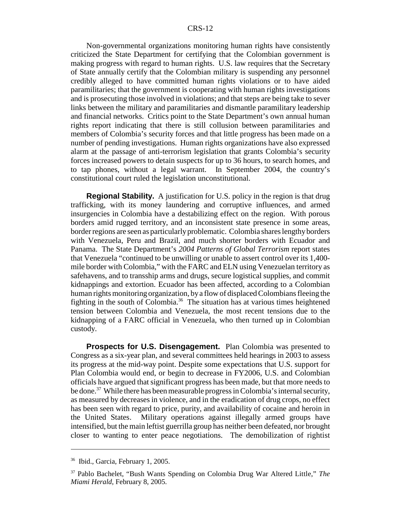Non-governmental organizations monitoring human rights have consistently criticized the State Department for certifying that the Colombian government is making progress with regard to human rights. U.S. law requires that the Secretary of State annually certify that the Colombian military is suspending any personnel credibly alleged to have committed human rights violations or to have aided paramilitaries; that the government is cooperating with human rights investigations and is prosecuting those involved in violations; and that steps are being take to sever links between the military and paramilitaries and dismantle paramilitary leadership and financial networks. Critics point to the State Department's own annual human rights report indicating that there is still collusion between paramilitaries and members of Colombia's security forces and that little progress has been made on a number of pending investigations. Human rights organizations have also expressed alarm at the passage of anti-terrorism legislation that grants Colombia's security forces increased powers to detain suspects for up to 36 hours, to search homes, and to tap phones, without a legal warrant. In September 2004, the country's constitutional court ruled the legislation unconstitutional.

**Regional Stability.** A justification for U.S. policy in the region is that drug trafficking, with its money laundering and corruptive influences, and armed insurgencies in Colombia have a destabilizing effect on the region. With porous borders amid rugged territory, and an inconsistent state presence in some areas, border regions are seen as particularly problematic. Colombia shares lengthy borders with Venezuela, Peru and Brazil, and much shorter borders with Ecuador and Panama. The State Department's *2004 Patterns of Global Terrorism* report states that Venezuela "continued to be unwilling or unable to assert control over its 1,400 mile border with Colombia," with the FARC and ELN using Venezuelan territory as safehavens, and to transship arms and drugs, secure logistical supplies, and commit kidnappings and extortion. Ecuador has been affected, according to a Colombian human rights monitoring organization, by a flow of displaced Colombians fleeing the fighting in the south of Colombia.<sup>36</sup> The situation has at various times heightened tension between Colombia and Venezuela, the most recent tensions due to the kidnapping of a FARC official in Venezuela, who then turned up in Colombian custody.

**Prospects for U.S. Disengagement.** Plan Colombia was presented to Congress as a six-year plan, and several committees held hearings in 2003 to assess its progress at the mid-way point. Despite some expectations that U.S. support for Plan Colombia would end, or begin to decrease in FY2006, U.S. and Colombian officials have argued that significant progress has been made, but that more needs to be done.<sup>37</sup> While there has been measurable progress in Colombia's internal security, as measured by decreases in violence, and in the eradication of drug crops, no effect has been seen with regard to price, purity, and availability of cocaine and heroin in the United States. Military operations against illegally armed groups have intensified, but the main leftist guerrilla group has neither been defeated, nor brought closer to wanting to enter peace negotiations. The demobilization of rightist

<sup>36</sup> Ibid., Garcia, February 1, 2005.

<sup>37</sup> Pablo Bachelet, "Bush Wants Spending on Colombia Drug War Altered Little," *The Miami Herald*, February 8, 2005.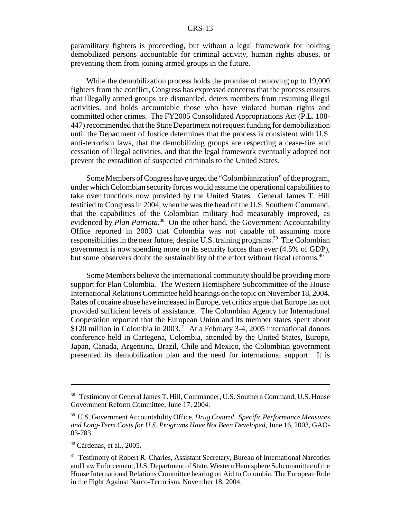paramilitary fighters is proceeding, but without a legal framework for holding demobilized persons accountable for criminal activity, human rights abuses, or preventing them from joining armed groups in the future.

While the demobilization process holds the promise of removing up to 19,000 fighters from the conflict, Congress has expressed concerns that the process ensures that illegally armed groups are dismantled, deters members from resuming illegal activities, and holds accountable those who have violated human rights and committed other crimes. The FY2005 Consolidated Appropriations Act (P.L. 108- 447) recommended that the State Department not request funding for demobilization until the Department of Justice determines that the process is consistent with U.S. anti-terrorism laws, that the demobilizing groups are respecting a cease-fire and cessation of illegal activities, and that the legal framework eventually adopted not prevent the extradition of suspected criminals to the United States.

Some Members of Congress have urged the "Colombianization" of the program, under which Colombian security forces would assume the operational capabilities to take over functions now provided by the United States. General James T. Hill testified to Congress in 2004, when he was the head of the U.S. Southern Command, that the capabilities of the Colombian military had measurably improved, as evidenced by *Plan Patriota*. 38 On the other hand, the Government Accountability Office reported in 2003 that Colombia was not capable of assuming more responsibilities in the near future, despite U.S. training programs.<sup>39</sup> The Colombian government is now spending more on its security forces than ever (4.5% of GDP), but some observers doubt the sustainability of the effort without fiscal reforms.<sup>40</sup>

Some Members believe the international community should be providing more support for Plan Colombia. The Western Hemisphere Subcommittee of the House International Relations Committee held hearings on the topic on November 18, 2004. Rates of cocaine abuse have increased in Europe, yet critics argue that Europe has not provided sufficient levels of assistance. The Colombian Agency for International Cooperation reported that the European Union and its member states spent about \$120 million in Colombia in 2003.<sup>41</sup> At a February 3-4, 2005 international donors conference held in Cartegena, Colombia, attended by the United States, Europe, Japan, Canada, Argentina, Brazil, Chile and Mexico, the Colombian government presented its demobilization plan and the need for international support. It is

<sup>38</sup> Testimony of General James T. Hill, Commander, U.S. Southern Command, U.S. House Government Reform Committee, June 17, 2004.

<sup>39</sup> U.S. Government Accountability Office, *Drug Control. Specific Performance Measures and Long-Term Costs for U.S. Programs Have Not Been Developed*, June 16, 2003, GAO-03-783.

<sup>40</sup> Cárdenas, et al., 2005.

<sup>&</sup>lt;sup>41</sup> Testimony of Robert R. Charles, Assistant Secretary, Bureau of International Narcotics and Law Enforcement, U.S. Department of State, Western Hemisphere Subcommittee of the House International Relations Committee hearing on Aid to Colombia: The European Role in the Fight Against Narco-Terrorism, November 18, 2004.